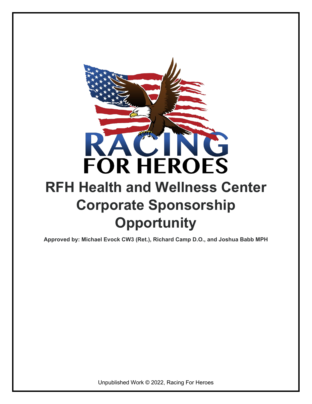

## **RFH Health and Wellness Center Corporate Sponsorship Opportunity**

**Approved by: Michael Evock CW3 (Ret.), Richard Camp D.O., and Joshua Babb MPH**

Unpublished Work © 2022, Racing For Heroes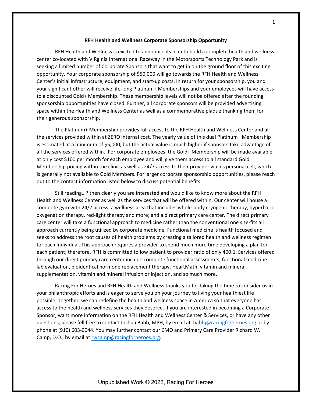## **RFH Health and Wellness Corporate Sponsorship Opportunity**

RFH Health and Wellness is excited to announce its plan to build a complete health and wellness center co-located with VIRginia International Raceway in the Motorsports Technology Park and is seeking a limited number of Corporate Sponsors that want to get in on the ground floor of this exciting opportunity. Your corporate sponsorship of \$50,000 will go towards the RFH Health and Wellness Center's initial infrastructure, equipment, and start-up costs. In return for your sponsorship, you and your significant other will receive life-long Platinum+ Memberships and your employees will have access to a discounted Gold+ Membership. These membership levels will not be offered after the founding sponsorship opportunities have closed. Further, all corporate sponsors will be provided advertising space within the Health and Wellness Center as well as a commemorative plaque thanking them for their generous sponsorship.

The Platinum+ Membership provides full access to the RFH Health and Wellness Center and all the services provided within at ZERO internal cost. The yearly value of this dual Platinum+ Membership is estimated at a minimum of \$5,000, but the actual value is much higher if sponsors take advantage of all the services offered within.. For corporate employees, the Gold+ Membership will be made available at only cost \$100 per month for each employee and will give them access to all standard Gold Membership pricing within the clinic as well as 24/7 access to their provider via his personal cell, which is generally not available to Gold Members. For larger corporate sponsorship opportunities, please reach out to the contact information listed below to discuss potential benefits.

Still reading…? then clearly you are interested and would like to know more about the RFH Health and Wellness Center as well as the services that will be offered within. Our center will house a complete gym with 24/7 access; a wellness area that includes whole-body cryogenic therapy, hyperbaric oxygenation therapy, red-light therapy and more; and a direct primary care center. The direct primary care center will take a functional approach to medicine rather than the conventional one size-fits all approach currently being utilized by corporate medicine. Functional medicine is health focused and seeks to address the root causes of health problems by creating a tailored health and wellness regimen for each individual. This approach requires a provider to spend much more time developing a plan for each patient; therefore, RFH is committed to low patient to provider ratio of only 400:1. Services offered through our direct primary care center include complete functional assessments, functional medicine lab evaluation, bioidentical hormone replacement therapy, HeartMath, vitamin and mineral supplementation, vitamin and mineral infusion or injection, and so much more.

Racing For Heroes and RFH Health and Wellness thanks you for taking the time to consider us in your philanthropic efforts and is eager to serve you on your journey to living your healthiest life possible. Together, we can redefine the health and wellness space in America so that everyone has access to the health and wellness services they deserve. If you are interested in becoming a Corporate Sponsor, want more information on the RFH Health and Wellness Center & Services, or have any other questions, please fell free to contact Joshua Babb, MPH, by email at [babbj@racingforheroes.org](mailto:babbj@racingforheroes.org) or by phone at (910) 603-0044. You may further contact our CMO and Primary Care Provider Richard W. Camp, D.O., by email at [rwcamp@racingforheroes.org.](mailto:rwcamp@racingforheroes.org)

Unpublished Work © 2022, Racing For Heroes